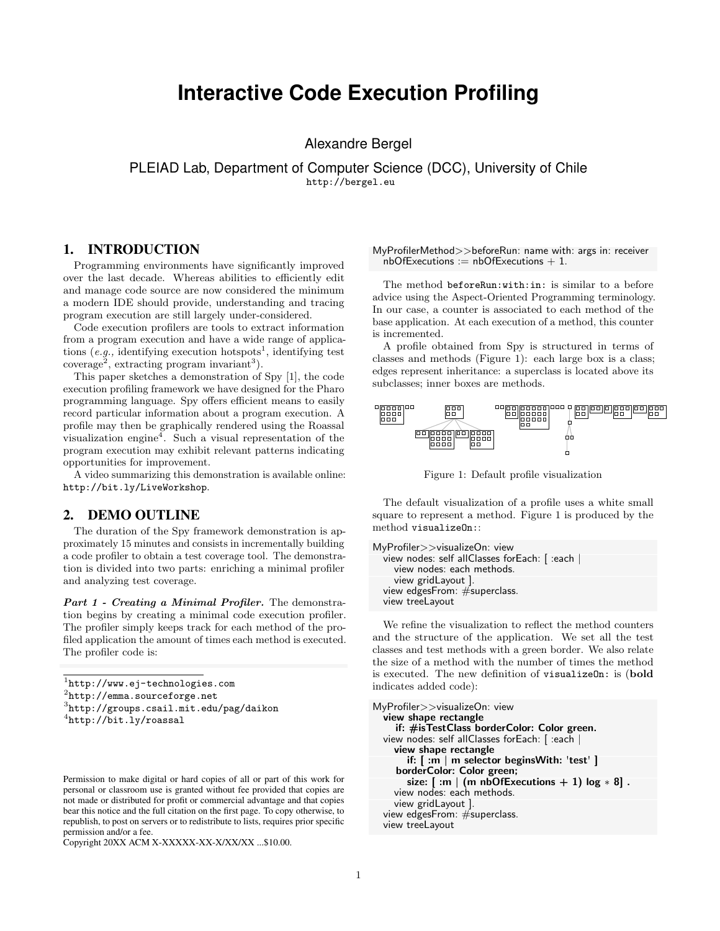# **Interactive Code Execution Profiling**

Alexandre Bergel

PLEIAD Lab, Department of Computer Science (DCC), University of Chile <http://bergel.eu>

## 1. INTRODUCTION

Programming environments have significantly improved over the last decade. Whereas abilities to efficiently edit and manage code source are now considered the minimum a modern IDE should provide, understanding and tracing program execution are still largely under-considered.

Code execution profilers are tools to extract information from a program execution and have a wide range of applications  $(e.g.,$  identifying execution hotspots<sup>[1](#page-0-0)</sup>, identifying test  $\text{coverage}^2$  $\text{coverage}^2$ , extracting program invariant<sup>[3](#page-0-2)</sup>).

This paper sketches a demonstration of Spy [\[1\]](#page-1-0), the code execution profiling framework we have designed for the Pharo programming language. Spy offers efficient means to easily record particular information about a program execution. A profile may then be graphically rendered using the Roassal visualization engine<sup>[4](#page-0-3)</sup>. Such a visual representation of the program execution may exhibit relevant patterns indicating opportunities for improvement.

A video summarizing this demonstration is available online: <http://bit.ly/LiveWorkshop>.

## 2. DEMO OUTLINE

The duration of the Spy framework demonstration is approximately 15 minutes and consists in incrementally building a code profiler to obtain a test coverage tool. The demonstration is divided into two parts: enriching a minimal profiler and analyzing test coverage.

Part 1 - Creating a Minimal Profiler. The demonstration begins by creating a minimal code execution profiler. The profiler simply keeps track for each method of the profiled application the amount of times each method is executed. The profiler code is:

```
1
http://www.ej-technologies.com
```
<span id="page-0-1"></span>2 <http://emma.sourceforge.net>

```
3
http://groups.csail.mit.edu/pag/daikon
```

```
4
http://bit.ly/roassal
```
Copyright 20XX ACM X-XXXXX-XX-X/XX/XX ...\$10.00.

#### MyProfilerMethod>>beforeRun: name with: args in: receiver  $n$ bOfExecutions := nbOfExecutions + 1.

The method beforeRun:with:in: is similar to a before advice using the Aspect-Oriented Programming terminology. In our case, a counter is associated to each method of the base application. At each execution of a method, this counter is incremented.

A profile obtained from Spy is structured in terms of classes and methods (Figure [1\)](#page-0-4): each large box is a class; edges represent inheritance: a superclass is located above its subclasses; inner boxes are methods.

<span id="page-0-4"></span>

Figure 1: Default profile visualization

The default visualization of a profile uses a white small square to represent a method. Figure [1](#page-0-4) is produced by the method visualizeOn::

```
MyProfiler>>visualizeOn: view
  view nodes: self allClasses forEach: [ :each |
    view nodes: each methods.
    view gridLayout ].
  view edgesFrom: #superclass.
  view treeLayout
```
We refine the visualization to reflect the method counters and the structure of the application. We set all the test classes and test methods with a green border. We also relate the size of a method with the number of times the method is executed. The new definition of visualizeOn: is (bold indicates added code):

```
MyProfiler>>visualizeOn: view
  view shape rectangle
     if: #isTestClass borderColor: Color green.
  view nodes: self allClasses forEach: [ :each |
    view shape rectangle
       if: [ :m | m selector beginsWith: 'test' ]
     borderColor: Color green;
       size: [ :m | (m \text{ nbOfExections} + 1) \text{ log} * 8].
    view nodes: each methods.
    view gridLayout ].
  view edgesFrom: #superclass.
  view treeLayout
```
Permission to make digital or hard copies of all or part of this work for personal or classroom use is granted without fee provided that copies are not made or distributed for profit or commercial advantage and that copies bear this notice and the full citation on the first page. To copy otherwise, to republish, to post on servers or to redistribute to lists, requires prior specific permission and/or a fee.